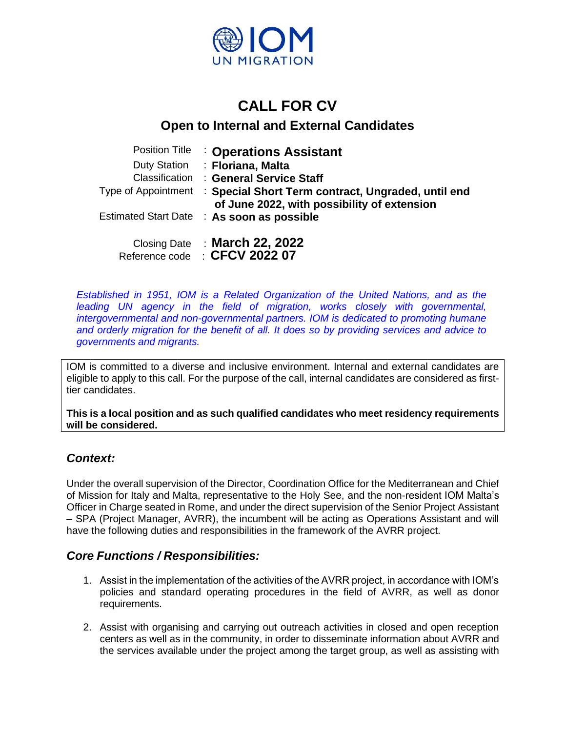

# **CALL FOR CV**

# **Open to Internal and External Candidates**

| <b>Position Title</b> | <b>Coperations Assistant</b>                                                                      |
|-----------------------|---------------------------------------------------------------------------------------------------|
| <b>Duty Station</b>   | : Floriana, Malta                                                                                 |
| Classification        | : General Service Staff                                                                           |
| Type of Appointment   | : Special Short Term contract, Ungraded, until end<br>of June 2022, with possibility of extension |
|                       | Estimated Start Date : As soon as possible                                                        |
|                       | Closing Date : March 22, 2022                                                                     |

Reference code : **CFCV 2022 07**

*Established in 1951, IOM is a Related Organization of the United Nations, and as the leading UN agency in the field of migration, works closely with governmental, intergovernmental and non-governmental partners. IOM is dedicated to promoting humane and orderly migration for the benefit of all. It does so by providing services and advice to governments and migrants.*

IOM is committed to a diverse and inclusive environment. Internal and external candidates are eligible to apply to this call. For the purpose of the call, internal candidates are considered as firsttier candidates.

**This is a local position and as such qualified candidates who meet residency requirements will be considered.**

# *Context:*

Under the overall supervision of the Director, Coordination Office for the Mediterranean and Chief of Mission for Italy and Malta, representative to the Holy See, and the non-resident IOM Malta's Officer in Charge seated in Rome, and under the direct supervision of the Senior Project Assistant – SPA (Project Manager, AVRR), the incumbent will be acting as Operations Assistant and will have the following duties and responsibilities in the framework of the AVRR project.

## *Core Functions / Responsibilities:*

- 1. Assist in the implementation of the activities of the AVRR project, in accordance with IOM's policies and standard operating procedures in the field of AVRR, as well as donor requirements.
- 2. Assist with organising and carrying out outreach activities in closed and open reception centers as well as in the community, in order to disseminate information about AVRR and the services available under the project among the target group, as well as assisting with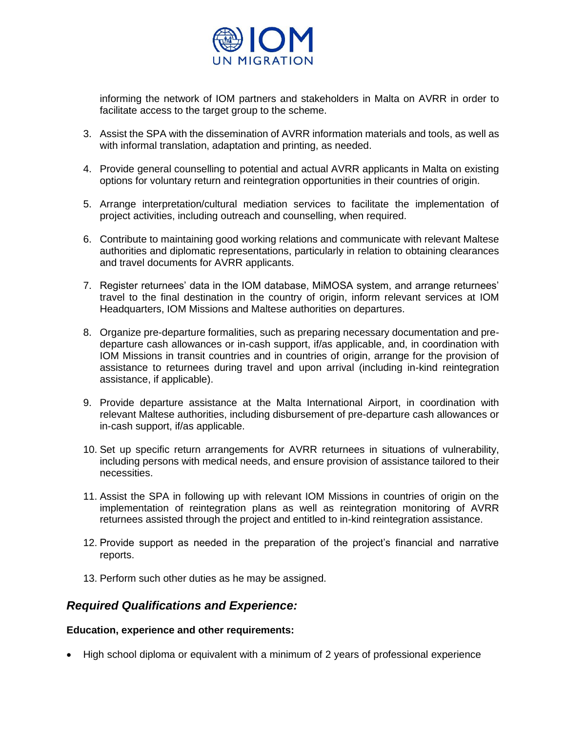

informing the network of IOM partners and stakeholders in Malta on AVRR in order to facilitate access to the target group to the scheme.

- 3. Assist the SPA with the dissemination of AVRR information materials and tools, as well as with informal translation, adaptation and printing, as needed.
- 4. Provide general counselling to potential and actual AVRR applicants in Malta on existing options for voluntary return and reintegration opportunities in their countries of origin.
- 5. Arrange interpretation/cultural mediation services to facilitate the implementation of project activities, including outreach and counselling, when required.
- 6. Contribute to maintaining good working relations and communicate with relevant Maltese authorities and diplomatic representations, particularly in relation to obtaining clearances and travel documents for AVRR applicants.
- 7. Register returnees' data in the IOM database, MiMOSA system, and arrange returnees' travel to the final destination in the country of origin, inform relevant services at IOM Headquarters, IOM Missions and Maltese authorities on departures.
- 8. Organize pre-departure formalities, such as preparing necessary documentation and predeparture cash allowances or in-cash support, if/as applicable, and, in coordination with IOM Missions in transit countries and in countries of origin, arrange for the provision of assistance to returnees during travel and upon arrival (including in-kind reintegration assistance, if applicable).
- 9. Provide departure assistance at the Malta International Airport, in coordination with relevant Maltese authorities, including disbursement of pre-departure cash allowances or in-cash support, if/as applicable.
- 10. Set up specific return arrangements for AVRR returnees in situations of vulnerability, including persons with medical needs, and ensure provision of assistance tailored to their necessities.
- 11. Assist the SPA in following up with relevant IOM Missions in countries of origin on the implementation of reintegration plans as well as reintegration monitoring of AVRR returnees assisted through the project and entitled to in-kind reintegration assistance.
- 12. Provide support as needed in the preparation of the project's financial and narrative reports.
- 13. Perform such other duties as he may be assigned.

### *Required Qualifications and Experience:*

#### **Education, experience and other requirements:**

• High school diploma or equivalent with a minimum of 2 years of professional experience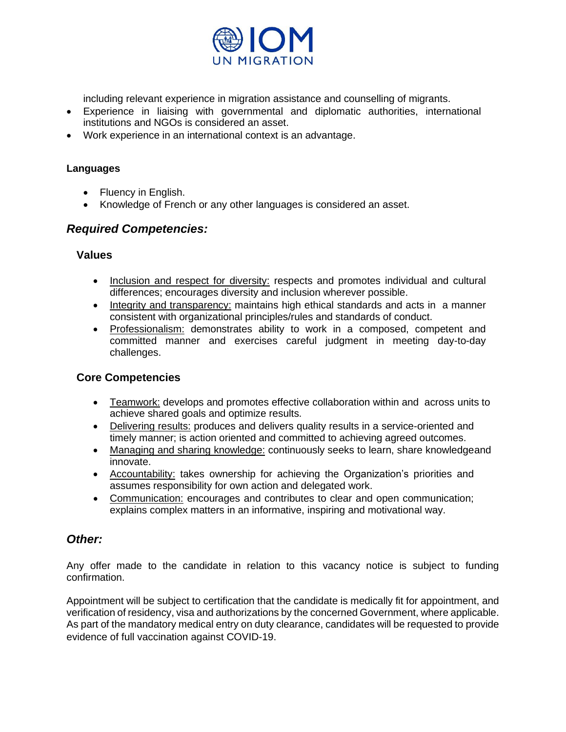

including relevant experience in migration assistance and counselling of migrants.

- Experience in liaising with governmental and diplomatic authorities, international institutions and NGOs is considered an asset.
- Work experience in an international context is an advantage.

#### **Languages**

- Fluency in English.
- Knowledge of French or any other languages is considered an asset.

### *Required Competencies:*

#### **Values**

- Inclusion and respect for diversity: respects and promotes individual and cultural differences; encourages diversity and inclusion wherever possible.
- Integrity and transparency: maintains high ethical standards and acts in a manner consistent with organizational principles/rules and standards of conduct.
- Professionalism: demonstrates ability to work in a composed, competent and committed manner and exercises careful judgment in meeting day-to-day challenges.

#### **Core Competencies**

- Teamwork: develops and promotes effective collaboration within and across units to achieve shared goals and optimize results.
- Delivering results: produces and delivers quality results in a service-oriented and timely manner; is action oriented and committed to achieving agreed outcomes.
- Managing and sharing knowledge: continuously seeks to learn, share knowledgeand innovate.
- Accountability: takes ownership for achieving the Organization's priorities and assumes responsibility for own action and delegated work.
- Communication: encourages and contributes to clear and open communication; explains complex matters in an informative, inspiring and motivational way.

### *Other:*

Any offer made to the candidate in relation to this vacancy notice is subject to funding confirmation.

Appointment will be subject to certification that the candidate is medically fit for appointment, and verification of residency, visa and authorizations by the concerned Government, where applicable. As part of the mandatory medical entry on duty clearance, candidates will be requested to provide evidence of full vaccination against COVID-19.